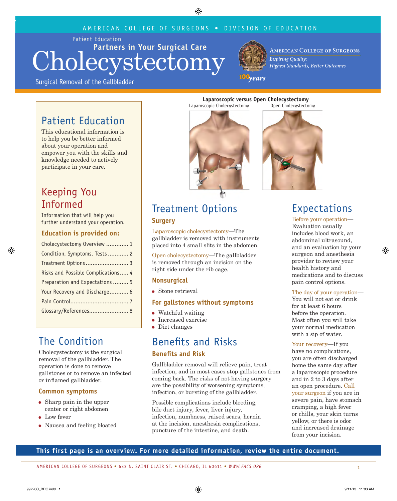#### AMERICAN COLLEGE OF SURGEONS • DIVISION OF EDUCATION

Patient Education

## **Partners in Your Surgical Care** Cholecystectomy



**AMERICAN COLLEGE OF SURGEONS Inspiring Quality:** Highest Standards, Better Outcomes

Surgical Removal of the Gallbladder

## 100<sub>years</sub>

## Patient Education

This educational information is to help you be better informed about your operation and empower you with the skills and knowledge needed to actively participate in your care.

## Keeping You Informed

Information that will help you further understand your operation.

#### **Education is provided on:**

| Cholecystectomy Overview  1        |  |  |
|------------------------------------|--|--|
| Condition, Symptoms, Tests 2       |  |  |
| Treatment Options 3                |  |  |
| Risks and Possible Complications 4 |  |  |
| Preparation and Expectations  5    |  |  |
| Your Recovery and Discharge 6      |  |  |
|                                    |  |  |
| Glossary/References 8              |  |  |
|                                    |  |  |

## The Condition

Cholecystectomy is the surgical removal of the gallbladder. The operation is done to remove gallstones or to remove an infected or inflamed gallbladder.

#### **Common symptoms**

- Sharp pain in the upper center or right abdomen
- Low fever
- Nausea and feeling bloated

**Laparoscopic versus Open Cholecystectomy Laparoscopic versus Open Cholecystectomy** Laparoscopic Cholecystectomy Open Cholecystectomy Laparoscopic Cholecystectomy Open Cholecystectomy



# Treatment Options

#### **Surgery**

Laparoscopic cholecystectomy—The gallbladder is removed with instruments placed into 4 small slits in the abdomen.

Open cholecystectomy—The gallbladder is removed through an incision on the right side under the rib cage.

#### **Nonsurgical**

 Stone retrieval

#### **For gallstones without symptoms**

- Watchful waiting
- **Increased exercise**
- Diet changes

## Benefits and Risks **Benefits and Risk**

Gallbladder removal will relieve pain, treat infection, and in most cases stop gallstones from coming back. The risks of not having surgery are the possibility of worsening symptoms, infection, or bursting of the gallbladder.

Possible complications include bleeding, bile duct injury, fever, liver injury, infection, numbness, raised scars, hernia at the incision, anesthesia complications, puncture of the intestine, and death.



## Expectations

Before your operation— Evaluation usually includes blood work, an abdominal ultrasound, and an evaluation by your surgeon and anesthesia provider to review your health history and medications and to discuss pain control options.

#### The day of your operation—

You will not eat or drink for at least 6 hours before the operation. Most often you will take your normal medication with a sip of water.

Your recovery—If you have no complications, you are often discharged home the same day after a laparoscopic procedure and in 2 to 3 days after an open procedure. Call your surgeon if you are in severe pain, have stomach cramping, a high fever or chills, your skin turns yellow, or there is odor and increased drainage from your incision.

## **This first page is an overview. For more detailed information, review the entire document.**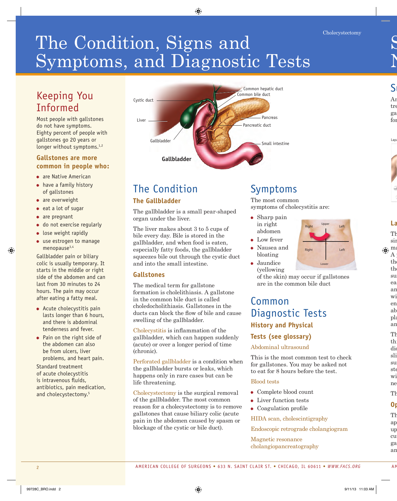# The Condition, Signs and Symptoms, and Diagnostic Tests

## Keeping You Informed

Most people with gallstones do not have symptoms. Eighty percent of people with gallstones go 20 years or longer without symptoms.<sup>1,2</sup>

#### **Gallstones are more common in people who:**

- are Native American
- have a family history of gallstones
- are overweight
- $e$  eat a lot of sugar
- are pregnant
- do not exercise regularly
- **.** lose weight rapidly
- use estrogen to manage menopause<sup>3,4</sup>

Gallbladder pain or biliary colic is usually temporary. It starts in the middle or right side of the abdomen and can last from 30 minutes to 24 hours. The pain may occur after eating a fatty meal.

- Acute cholecystitis pain lasts longer than 6 hours, and there is abdominal tenderness and fever.
- Pain on the right side of the abdomen can also be from ulcers, liver problems, and heart pain.

Standard treatment of acute cholecystitis is intravenous fluids, antibiotics, pain medication, and cholecystectomy.<sup>5</sup>



## The Condition

## **The Gallbladder**

The gallbladder is a small pear-shaped organ under the liver.

The liver makes about 3 to 5 cups of bile every day. Bile is stored in the gallbladder, and when food is eaten, especially fatty foods, the gallbladder squeezes bile out through the cystic duct and into the small intestine.

#### **Gallstones**

The medical term for gallstone formation is cholelithiasis. A gallstone in the common bile duct is called choledocholithiasis. Gallstones in the ducts can block the flow of bile and cause swelling of the gallbladder.

Cholecystitis is inflammation of the gallbladder, which can happen suddenly (acute) or over a longer period of time (chronic).

Perforated gallbladder is a condition when the gallbladder bursts or leaks, which happens only in rare cases but can be life threatening.

Cholecystectomy is the surgical removal of the gallbladder. The most common reason for a cholecystectomy is to remove gallstones that cause biliary colic (acute pain in the abdomen caused by spasm or blockage of the cystic or bile duct).

## Symptoms

The most common symptoms of cholecystitis are:

- Sharp pain in right abdomen
- Low fever
- Nausea and
	- bloating
- Jaundice (yellowing

of the skin) may occur if gallstones are in the common bile duct

## Common Diagnostic Tests **History and Physical Tests (see glossary)**

#### Abdominal ultrasound

This is the most common test to check for gallstones. You may be asked not to eat for 8 hours before the test.

#### Blood tests

- Complete blood count
- Liver function tests
- Coagulation profile

#### HIDA scan, cholescintigraphy

Endoscopic retrograde cholangiogram

Magnetic resonance cholangiopancreatography

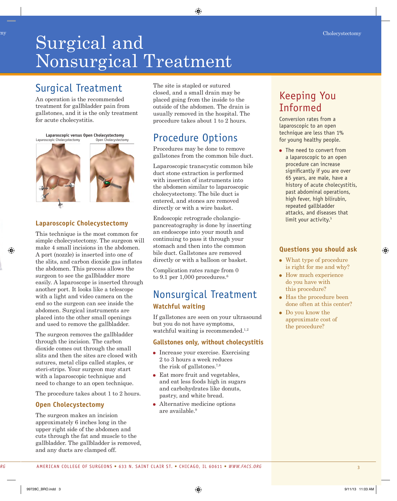## Surgical and Nonsurgical Treatment Cholecystectomy Cholecystectomy

## Surgical Treatment

An operation is the recommended treatment for gallbladder pain from gallstones, and it is the only treatment for acute cholecystitis.

**Laparoscopic versus Open Cholecystectomy Laparoscopic versus Open Cholecystectomy**



## **Laparoscopic Cholecystectomy**

This technique is the most common for simple cholecystectomy. The surgeon will make 4 small incisions in the abdomen. A port (nozzle) is inserted into one of the slits, and carbon dioxide gas inflates the abdomen. This process allows the surgeon to see the gallbladder more easily. A laparoscope is inserted through another port. It looks like a telescope with a light and video camera on the end so the surgeon can see inside the abdomen. Surgical instruments are placed into the other small openings and used to remove the gallbladder.

The surgeon removes the gallbladder through the incision. The carbon dioxide comes out through the small slits and then the sites are closed with sutures, metal clips called staples, or steri-strips. Your surgeon may start with a laparoscopic technique and need to change to an open technique.

The procedure takes about 1 to 2 hours.

## **Open Cholecystectomy**

The surgeon makes an incision approximately 6 inches long in the upper right side of the abdomen and cuts through the fat and muscle to the gallbladder. The gallbladder is removed, and any ducts are clamped off.

The site is stapled or sutured closed, and a small drain may be placed going from the inside to the outside of the abdomen. The drain is usually removed in the hospital. The procedure takes about 1 to 2 hours.

## Procedure Options

Procedures may be done to remove gallstones from the common bile duct.

Laparoscopic transcystic common bile duct stone extraction is performed with insertion of instruments into the abdomen similar to laparoscopic cholecystectomy. The bile duct is entered, and stones are removed directly or with a wire basket.

Endoscopic retrograde cholangiopancreatography is done by inserting an endoscope into your mouth and continuing to pass it through your stomach and then into the common bile duct. Gallstones are removed directly or with a balloon or basket.

Complication rates range from 0 to 9.1 per  $1,000$  procedures.<sup>6</sup>

## Nonsurgical Treatment **Watchful waiting**

If gallstones are seen on your ultrasound but you do not have symptoms, watchful waiting is recommended. $1,2$ 

## **Gallstones only, without cholecystitis**

- Increase your exercise. Exercising 2 to 3 hours a week reduces the risk of gallstones.7,8
- Eat more fruit and vegetables, and eat less foods high in sugars and carbohydrates like donuts, pastry, and white bread.
- Alternative medicine options are available.9

## Keeping You Informed

Conversion rates from a laparoscopic to an open technique are less than 1% for young healthy people.

• The need to convert from a laparoscopic to an open procedure can increase significantly if you are over 65 years, are male, have a history of acute cholecystitis, past abdominal operations, high fever, high bilirubin, repeated gallbladder attacks, and diseases that limit your activity.<sup>5</sup>

## **Questions you should ask**

- What type of procedure is right for me and why?
- How much experience do you have with this procedure?
- Has the procedure been done often at this center?
- Do you know the approximate cost of the procedure?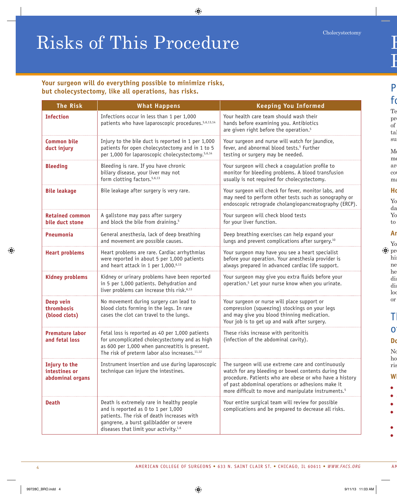# Risks of This Procedure

#### **Your surgeon will do everything possible to minimize risks, but cholecystectomy, like all operations, has risks.**

| <b>The Risk</b>                                    | <b>What Happens</b>                                                                                                                                                                                                            | <b>Keeping You Informed</b>                                                                                                                                                                                                                                                                  |
|----------------------------------------------------|--------------------------------------------------------------------------------------------------------------------------------------------------------------------------------------------------------------------------------|----------------------------------------------------------------------------------------------------------------------------------------------------------------------------------------------------------------------------------------------------------------------------------------------|
| <b>Infection</b>                                   | Infections occur in less than 1 per 1,000<br>patients who have laparoscopic procedures. <sup>5,6,13,14</sup>                                                                                                                   | Your health care team should wash their<br>hands before examining you. Antibiotics<br>are given right before the operation. <sup>5</sup>                                                                                                                                                     |
| <b>Common bile</b><br>duct injury                  | Injury to the bile duct is reported in 1 per 1,000<br>patients for open cholecystectomy and in 1 to 5<br>per 1,000 for laparoscopic cholecystectomy. <sup>5,6,14</sup>                                                         | Your surgeon and nurse will watch for jaundice,<br>fever, and abnormal blood tests. <sup>5</sup> Further<br>testing or surgery may be needed.                                                                                                                                                |
| <b>Bleeding</b>                                    | Bleeding is rare. If you have chronic<br>biliary disease, your liver may not<br>form clotting factors. <sup>5,6,13</sup>                                                                                                       | Your surgeon will check a coagulation profile to<br>monitor for bleeding problems. A blood transfusion<br>usually is not required for cholecystectomy.                                                                                                                                       |
| <b>Bile leakage</b>                                | Bile leakage after surgery is very rare.                                                                                                                                                                                       | Your surgeon will check for fever, monitor labs, and<br>may need to perform other tests such as sonography or<br>endoscopic retrograde cholangiopancreatography (ERCP).                                                                                                                      |
| <b>Retained common</b><br>bile duct stone          | A gallstone may pass after surgery<br>and block the bile from draining. <sup>5</sup>                                                                                                                                           | Your surgeon will check blood tests<br>for your liver function.                                                                                                                                                                                                                              |
| <b>Pneumonia</b>                                   | General anesthesia, lack of deep breathing<br>and movement are possible causes.                                                                                                                                                | Deep breathing exercises can help expand your<br>lungs and prevent complications after surgery. <sup>10</sup>                                                                                                                                                                                |
| <b>Heart problems</b>                              | Heart problems are rare. Cardiac arrhythmias<br>were reported in about 5 per 1,000 patients<br>and heart attack in 1 per 1,000.6,13                                                                                            | Your surgeon may have you see a heart specialist<br>before your operation. Your anesthesia provider is<br>always prepared in advanced cardiac life support.                                                                                                                                  |
| <b>Kidney problems</b>                             | Kidney or urinary problems have been reported<br>in 5 per 1,000 patients. Dehydration and<br>liver problems can increase this risk. <sup>6,13</sup>                                                                            | Your surgeon may give you extra fluids before your<br>operation. <sup>5</sup> Let your nurse know when you urinate.                                                                                                                                                                          |
| Deep vein<br>thrombosis<br>(blood clots)           | No movement during surgery can lead to<br>blood clots forming in the legs. In rare<br>cases the clot can travel to the lungs.                                                                                                  | Your surgeon or nurse will place support or<br>compression (squeezing) stockings on your legs<br>and may give you blood thinning medication.<br>Your job is to get up and walk after surgery.                                                                                                |
| <b>Premature labor</b><br>and fetal loss           | Fetal loss is reported as 40 per 1,000 patients<br>for uncomplicated cholecystectomy and as high<br>as 600 per 1,000 when pancreatitis is present.<br>The risk of preterm labor also increases. <sup>11,12</sup>               | These risks increase with peritonitis<br>(infection of the abdominal cavity).                                                                                                                                                                                                                |
| Injury to the<br>intestines or<br>abdominal organs | Instrument insertion and use during laparoscopic<br>technique can injure the intestines.                                                                                                                                       | The surgeon will use extreme care and continuously<br>watch for any bleeding or bowel contents during the<br>procedure. Patients who are obese or who have a history<br>of past abdominal operations or adhesions make it<br>more difficult to move and manipulate instruments. <sup>5</sup> |
| <b>Death</b>                                       | Death is extremely rare in healthy people<br>and is reported as 0 to 1 per 1,000<br>patients. The risk of death increases with<br>gangrene, a burst gallbladder or severe<br>diseases that limit your activity. <sup>1,6</sup> | Your entire surgical team will review for possible<br>complications and be prepared to decrease all risks.                                                                                                                                                                                   |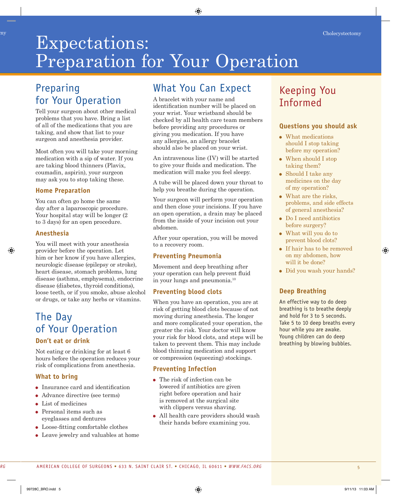## Expectations: Preparation for Your Operation Cholecystectomy Cholecystectomy

## Preparing for Your Operation

Tell your surgeon about other medical problems that you have. Bring a list of all of the medications that you are taking, and show that list to your surgeon and anesthesia provider.

Most often you will take your morning medication with a sip of water. If you are taking blood thinners (Plavix, coumadin, aspirin), your surgeon may ask you to stop taking these.

## **Home Preparation**

You can often go home the same day after a laparoscopic procedure. Your hospital stay will be longer  $(2)$ to 3 days) for an open procedure.

#### **Anesthesia**

You will meet with your anesthesia provider before the operation. Let him or her know if you have allergies, neurologic disease (epilepsy or stroke), heart disease, stomach problems, lung disease (asthma, emphysema), endocrine disease (diabetes, thyroid conditions), loose teeth, or if you smoke, abuse alcohol or drugs, or take any herbs or vitamins.

## The Day of Your Operation **Don't eat or drink**

Not eating or drinking for at least 6 hours before the operation reduces your risk of complications from anesthesia.

## **What to bring**

- Insurance card and identification
- Advance directive (see terms)
- List of medicines
- Personal items such as eyeglasses and dentures
- Loose-fitting comfortable clothes
- Leave jewelry and valuables at home

## What You Can Expect

A bracelet with your name and identification number will be placed on your wrist. Your wristband should be checked by all health care team members before providing any procedures or giving you medication. If you have any allergies, an allergy bracelet should also be placed on your wrist.

An intravenous line (IV) will be started to give your fluids and medication. The medication will make you feel sleepy.

A tube will be placed down your throat to help you breathe during the operation.

Your surgeon will perform your operation and then close your incisions. If you have an open operation, a drain may be placed from the inside of your incision out your abdomen.

After your operation, you will be moved to a recovery room.

## **Preventing Pneumonia**

Movement and deep breathing after your operation can help prevent fluid in your lungs and pneumonia.10

## **Preventing blood clots**

When you have an operation, you are at risk of getting blood clots because of not moving during anesthesia. The longer and more complicated your operation, the greater the risk. Your doctor will know your risk for blood clots, and steps will be taken to prevent them. This may include blood thinning medication and support or compression (squeezing) stockings.

## **Preventing Infection**

- The risk of infection can be lowered if antibiotics are given right before operation and hair is removed at the surgical site with clippers versus shaving.
- All health care providers should wash their hands before examining you.

## Keeping You Informed

## **Questions you should ask**

- What medications should I stop taking before my operation?
- When should I stop taking them?
- Should I take any medicines on the day of my operation?
- What are the risks, problems, and side effects of general anesthesia?
- Do I need antibiotics before surgery?
- What will you do to prevent blood clots?
- If hair has to be removed on my abdomen, how will it be done?
- Did you wash your hands?

## **Deep Breathing**

An effective way to do deep breathing is to breathe deeply and hold for 3 to 5 seconds. Take 5 to 10 deep breaths every hour while you are awake. Young children can do deep breathing by blowing bubbles.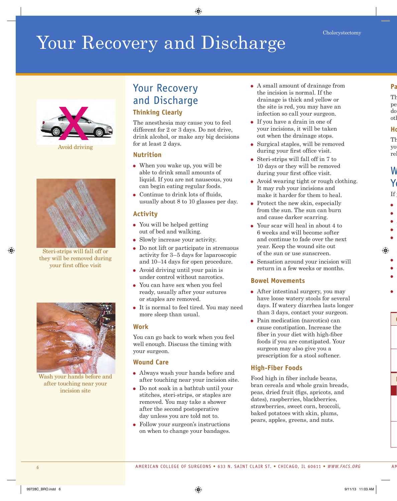# Your Recovery and Discharge



Avoid driving



Steri-strips will fall off or they will be removed during your first office visit



Wash your hands before and after touching near your incision site

## Your Recovery and Discharge **Thinking Clearly**

The anesthesia may cause you to feel different for 2 or 3 days. Do not drive, drink alcohol, or make any big decisions for at least 2 days.

#### **Nutrition**

- When you wake up, you will be able to drink small amounts of liquid. If you are not nauseous, you can begin eating regular foods.
- Continue to drink lots of fluids, usually about 8 to 10 glasses per day.

#### **Activity**

- You will be helped getting out of bed and walking.
- Slowly increase your activity.
- Do not lift or participate in strenuous activity for 3–5 days for laparoscopic and 10–14 days for open procedure.
- Avoid driving until your pain is under control without narcotics.
- You can have sex when you feel ready, usually after your sutures or staples are removed.
- It is normal to feel tired. You may need more sleep than usual.

#### **Work**

You can go back to work when you feel well enough. Discuss the timing with your surgeon.

#### **Wound Care**

- Always wash your hands before and after touching near your incision site.
- Do not soak in a bathtub until your stitches, steri-strips, or staples are removed. You may take a shower after the second postoperative day unless you are told not to.
- Follow your surgeon's instructions on when to change your bandages.
- A small amount of drainage from the incision is normal. If the drainage is thick and yellow or the site is red, you may have an infection so call your surgeon.
- If you have a drain in one of your incisions, it will be taken out when the drainage stops.
- Surgical staples, will be removed during your first office visit.
- Steri-strips will fall off in 7 to 10 days or they will be removed during your first office visit.
- Avoid wearing tight or rough clothing. It may rub your incisions and make it harder for them to heal.
- Protect the new skin, especially from the sun. The sun can burn and cause darker scarring.
- Your scar will heal in about 4 to 6 weeks and will become softer and continue to fade over the next year. Keep the wound site out of the sun or use sunscreen.
- Sensation around your incision will return in a few weeks or months.

#### **Bowel Movements**

- After intestinal surgery, you may have loose watery stools for several days. If watery diarrhea lasts longer than 3 days, contact your surgeon.
- Pain medication (narcotics) can cause constipation. Increase the fiber in your diet with high-fiber foods if you are constipated. Your surgeon may also give you a prescription for a stool softener.

## **High-Fiber Foods**

Food high in fiber include beans, bran cereals and whole grain breads, peas, dried fruit (figs, apricots, and dates), raspberries, blackberries, strawberries, sweet corn, broccoli, baked potatoes with skin, plums, pears, apples, greens, and nuts.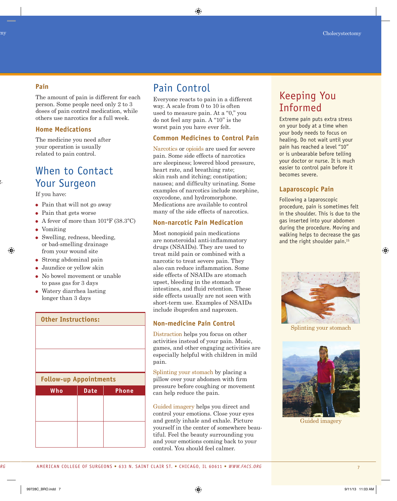#### **Pain**

The amount of pain is different for each person. Some people need only 2 to 3 doses of pain control medication, while others use narcotics for a full week.

#### **Home Medications**

The medicine you need after your operation is usually related to pain control.

## When to Contact Your Surgeon

If you have:

- Pain that will not go away
- Pain that gets worse
- A fever of more than 101°F (38.3ºC)
- Vomiting
- Swelling, redness, bleeding, or bad-smelling drainage from your wound site
- Strong abdominal pain
- Jaundice or yellow skin
- No bowel movement or unable to pass gas for 3 days
- Watery diarrhea lasting longer than 3 days

# **Other Instructions: Follow-up Appointments Who Date Phone**

## Pain Control

Everyone reacts to pain in a different way. A scale from 0 to 10 is often used to measure pain. At a "0," you do not feel any pain. A "10" is the worst pain you have ever felt.

#### **Common Medicines to Control Pain**

Narcotics or opioids are used for severe pain. Some side effects of narcotics are sleepiness; lowered blood pressure, heart rate, and breathing rate; skin rash and itching; constipation; nausea; and difficulty urinating. Some examples of narcotics include morphine, oxycodone, and hydromorphone. Medications are available to control many of the side effects of narcotics.

#### **Non-narcotic Pain Medication**

Most nonopioid pain medications are nonsteroidal anti-inflammatory drugs (NSAIDs). They are used to treat mild pain or combined with a narcotic to treat severe pain. They also can reduce inflammation. Some side effects of NSAIDs are stomach upset, bleeding in the stomach or intestines, and fluid retention. These side effects usually are not seen with short-term use. Examples of NSAIDs include ibuprofen and naproxen.

## **Non-medicine Pain Control**

Distraction helps you focus on other activities instead of your pain. Music, games, and other engaging activities are especially helpful with children in mild pain.

Splinting your stomach by placing a pillow over your abdomen with firm pressure before coughing or movement can help reduce the pain.

Guided imagery helps you direct and control your emotions. Close your eyes and gently inhale and exhale. Picture yourself in the center of somewhere beautiful. Feel the beauty surrounding you and your emotions coming back to your control. You should feel calmer.

## Keeping You Informed

Extreme pain puts extra stress on your body at a time when your body needs to focus on healing. Do not wait until your pain has reached a level "10" or is unbearable before telling your doctor or nurse. It is much easier to control pain before it becomes severe.

## **Laparoscopic Pain**

Following a laparoscopic procedure, pain is sometimes felt in the shoulder. This is due to the gas inserted into your abdomen during the procedure. Moving and walking helps to decrease the gas and the right shoulder pain.<sup>15</sup>



Splinting your stomach



Guided imagery